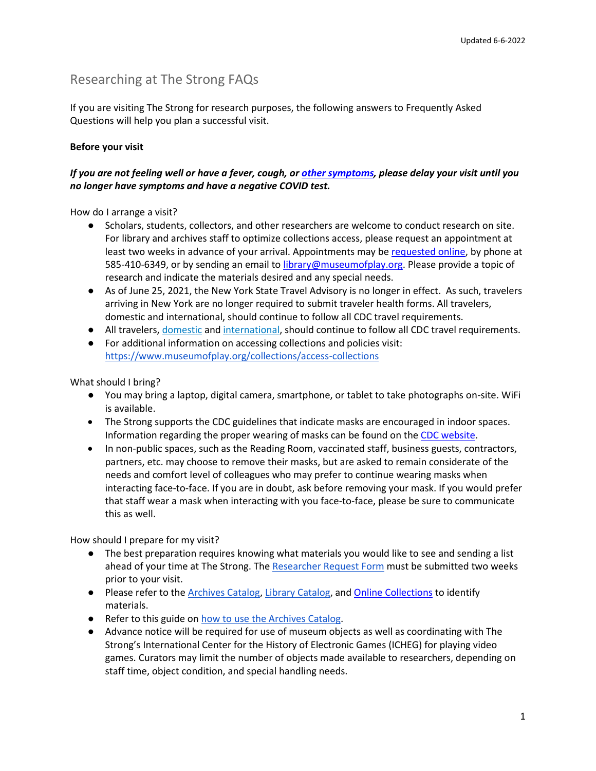## Researching at The Strong FAQs

If you are visiting The Strong for research purposes, the following answers to Frequently Asked Questions will help you plan a successful visit.

## **Before your visit**

### *If you are not feeling well or have a fever, cough, or [other symptoms,](https://www.cdc.gov/coronavirus/2019-ncov/symptoms-testing/symptoms.html) please delay your visit until you no longer have symptoms and have a negative COVID test.*

How do I arrange a visit?

- Scholars, students, collectors, and other researchers are welcome to conduct research on site. For library and archives staff to optimize collections access, please request an appointment at least two weeks in advance of your arrival. Appointments may be [requested online,](https://www.museumofplay.org/research-publications/research-inquiries) by phone at 585-410-6349, or by sending an email to [library@museumofplay.org.](mailto:library@museumofplay.org) Please provide a topic of research and indicate the materials desired and any special needs.
- As of June 25, 2021, the New York State Travel Advisory is no longer in effect. As such, travelers arriving in New York are no longer required to submit traveler health forms. All travelers, domestic and international, should continue to follow all CDC travel requirements.
- All travelers, [domestic](https://www.cdc.gov/coronavirus/2019-ncov/travelers/travel-during-covid19.html) and [international,](https://www.cdc.gov/coronavirus/2019-ncov/travelers/international-travel-during-covid19.html) should continue to follow all CDC travel requirements.
- For additional information on accessing collections and policies visit: <https://www.museumofplay.org/collections/access-collections>

What should I bring?

- You may bring a laptop, digital camera, smartphone, or tablet to take photographs on-site. WiFi is available.
- The Strong supports the CDC guidelines that indicate masks are encouraged in indoor spaces. Information regarding the proper wearing of masks can be found on the [CDC website.](https://www.cdc.gov/coronavirus/2019-ncov/prevent-getting-sick/about-face-coverings.html)
- In non-public spaces, such as the Reading Room, vaccinated staff, business guests, contractors, partners, etc. may choose to remove their masks, but are asked to remain considerate of the needs and comfort level of colleagues who may prefer to continue wearing masks when interacting face-to-face. If you are in doubt, ask before removing your mask. If you would prefer that staff wear a mask when interacting with you face-to-face, please be sure to communicate this as well.

How should I prepare for my visit?

- The best preparation requires knowing what materials you would like to see and sending a list ahead of your time at The Strong. The [Researcher Request Form](https://www.museumofplay.org/app/uploads/2022/06/Researcher-Requests-Form_030221_with-fields.pdf) must be submitted two weeks prior to your visit.
- Please refer to the [Archives Catalog,](http://archives.museumofplay.org/) [Library Catalog,](https://s90001.eos-intl.net/S90001/OPAC/Search/SimpleSearch.aspx) an[d Online Collections](https://onlinecollection.museumofplay.org/ArgusNet/Portal/Public.aspx) to identify materials.
- Refer to this guide o[n how to use the Archives Catalog.](https://www.museumofplay.org/sites/default/files/uploads/How%20to%20Use%20Archives%20Catalog_073019.pdf)
- Advance notice will be required for use of museum objects as well as coordinating with The Strong's International Center for the History of Electronic Games (ICHEG) for playing video games. Curators may limit the number of objects made available to researchers, depending on staff time, object condition, and special handling needs.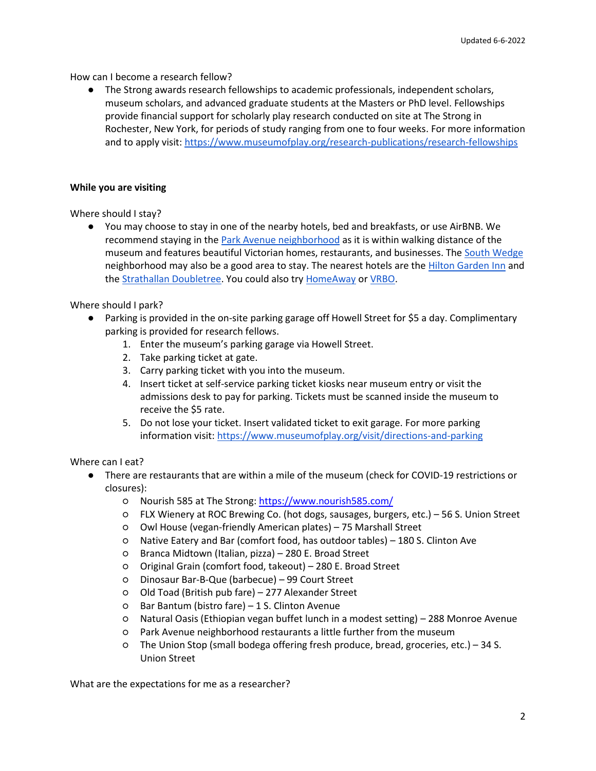#### How can I become a research fellow?

● The Strong awards research fellowships to academic professionals, independent scholars, museum scholars, and advanced graduate students at the Masters or PhD level. Fellowships provide financial support for scholarly play research conducted on site at The Strong in Rochester, New York, for periods of study ranging from one to four weeks. For more information and to apply visit[: https://www.museumofplay.org/research-publications/research-fellowships](https://www.museumofplay.org/research-publications/research-fellowships)

#### **While you are visiting**

Where should I stay?

● You may choose to stay in one of the nearby hotels, bed and breakfasts, or use AirBNB. We recommend staying in the [Park Avenue neighborhood](http://www.park-avenue.org/) as it is within walking distance of the museum and features beautiful Victorian homes, restaurants, and businesses. The [South Wedge](http://www.cityofrochester.gov/article.aspx?id=8589943437) neighborhood may also be a good area to stay. The nearest hotels are the [Hilton Garden Inn](http://hiltongardeninn3.hilton.com/en/hotels/new-york/hilton-garden-inn-rochester-downtown-ROCEMGI/index.html) and th[e Strathallan Doubletree.](http://www.strathallan.com/) You could also try [HomeAway](https://www.homeaway.com/) or [VRBO.](https://www.vrbo.com/)

Where should I park?

- Parking is provided in the on-site parking garage off Howell Street for \$5 a day. Complimentary parking is provided for research fellows.
	- 1. Enter the museum's parking garage via Howell Street.
	- 2. Take parking ticket at gate.
	- 3. Carry parking ticket with you into the museum.
	- 4. Insert ticket at self-service parking ticket kiosks near museum entry or visit the admissions desk to pay for parking. Tickets must be scanned inside the museum to receive the \$5 rate.
	- 5. Do not lose your ticket. Insert validated ticket to exit garage. For more parking information visit:<https://www.museumofplay.org/visit/directions-and-parking>

Where can I eat?

- There are restaurants that are within a mile of the museum (check for COVID-19 restrictions or closures):
	- Nourish 585 at The Strong: <https://www.nourish585.com/>
	- FLX Wienery at ROC Brewing Co. (hot dogs, sausages, burgers, etc.) 56 S. Union Street
	- Owl House (vegan-friendly American plates) 75 Marshall Street
	- Native Eatery and Bar (comfort food, has outdoor tables) 180 S. Clinton Ave
	- Branca Midtown (Italian, pizza) 280 E. Broad Street
	- Original Grain (comfort food, takeout) 280 E. Broad Street
	- Dinosaur Bar-B-Que (barbecue) 99 Court Street
	- Old Toad (British pub fare) 277 Alexander Street
	- Bar Bantum (bistro fare) 1 S. Clinton Avenue
	- Natural Oasis (Ethiopian vegan buffet lunch in a modest setting) 288 Monroe Avenue
	- Park Avenue neighborhood restaurants a little further from the museum
	- The Union Stop (small bodega offering fresh produce, bread, groceries, etc.) 34 S. Union Street

What are the expectations for me as a researcher?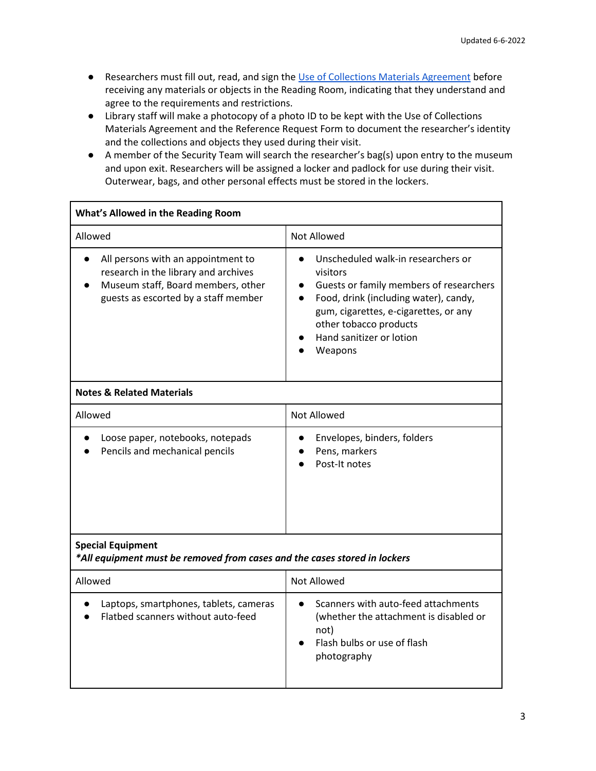- Researchers must fill out, read, and sign th[e Use of Collections Materials Agreement](https://www.museumofplay.org/node/5004/attachment) before receiving any materials or objects in the Reading Room, indicating that they understand and agree to the requirements and restrictions.
- Library staff will make a photocopy of a photo ID to be kept with the Use of Collections Materials Agreement and the Reference Request Form to document the researcher's identity and the collections and objects they used during their visit.
- A member of the Security Team will search the researcher's bag(s) upon entry to the museum and upon exit. Researchers will be assigned a locker and padlock for use during their visit. Outerwear, bags, and other personal effects must be stored in the lockers.

| What's Allowed in the Reading Room                                                                                                                       |                                                                                                                                                                                                                                              |
|----------------------------------------------------------------------------------------------------------------------------------------------------------|----------------------------------------------------------------------------------------------------------------------------------------------------------------------------------------------------------------------------------------------|
| Allowed                                                                                                                                                  | Not Allowed                                                                                                                                                                                                                                  |
| All persons with an appointment to<br>research in the library and archives<br>Museum staff, Board members, other<br>guests as escorted by a staff member | Unscheduled walk-in researchers or<br>visitors<br>Guests or family members of researchers<br>Food, drink (including water), candy,<br>gum, cigarettes, e-cigarettes, or any<br>other tobacco products<br>Hand sanitizer or lotion<br>Weapons |
| <b>Notes &amp; Related Materials</b>                                                                                                                     |                                                                                                                                                                                                                                              |
| Allowed                                                                                                                                                  | <b>Not Allowed</b>                                                                                                                                                                                                                           |
| Loose paper, notebooks, notepads<br>Pencils and mechanical pencils                                                                                       | Envelopes, binders, folders<br>Pens, markers<br>Post-It notes                                                                                                                                                                                |
| <b>Special Equipment</b><br>*All equipment must be removed from cases and the cases stored in lockers                                                    |                                                                                                                                                                                                                                              |
| Allowed                                                                                                                                                  | <b>Not Allowed</b>                                                                                                                                                                                                                           |
| Laptops, smartphones, tablets, cameras<br>Flatbed scanners without auto-feed                                                                             | Scanners with auto-feed attachments<br>(whether the attachment is disabled or<br>not)<br>Flash bulbs or use of flash<br>photography                                                                                                          |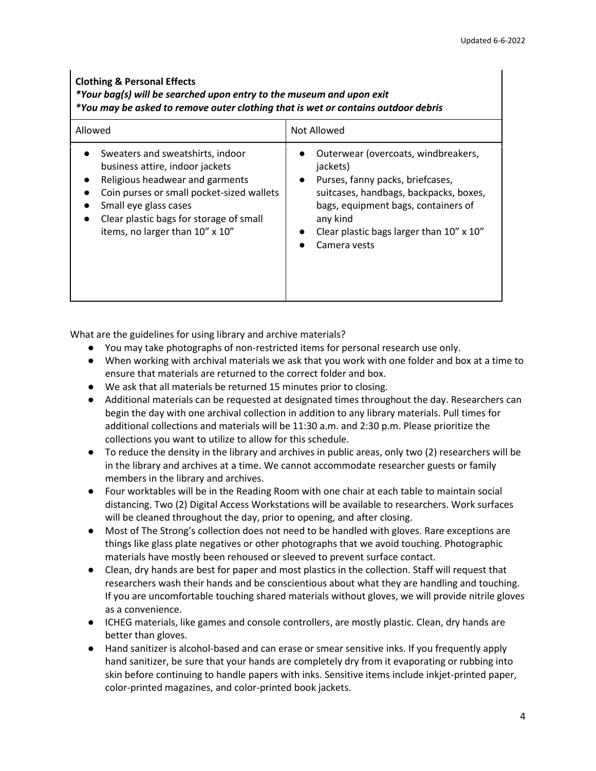#### **Clothing & Personal Effects**

# *\*Your bag(s) will be searched upon entry to the museum and upon exit*

*\*You may be asked to remove outer clothing that is wet or contains outdoor debris*

| Allowed                                   | Not Allowed                              |
|-------------------------------------------|------------------------------------------|
| Sweaters and sweatshirts, indoor          | Outerwear (overcoats, windbreakers,      |
| business attire, indoor jackets           | jackets)                                 |
| Religious headwear and garments           | Purses, fanny packs, briefcases,         |
| $\bullet$                                 | $\bullet$                                |
| Coin purses or small pocket-sized wallets | suitcases, handbags, backpacks, boxes,   |
| Small eye glass cases                     | bags, equipment bags, containers of      |
| Clear plastic bags for storage of small   | any kind                                 |
|                                           | Clear plastic bags larger than 10" x 10" |
| items, no larger than 10" x 10"           | Camera vests                             |

What are the guidelines for using library and archive materials?

- You may take photographs of non-restricted items for personal research use only.
- When working with archival materials we ask that you work with one folder and box at a time to ensure that materials are returned to the correct folder and box.
- We ask that all materials be returned 15 minutes prior to closing.
- Additional materials can be requested at designated times throughout the day. Researchers can begin the day with one archival collection in addition to any library materials. Pull times for additional collections and materials will be 11:30 a.m. and 2:30 p.m. Please prioritize the collections you want to utilize to allow for this schedule.
- To reduce the density in the library and archives in public areas, only two (2) researchers will be in the library and archives at a time. We cannot accommodate researcher guests or family members in the library and archives.
- Four worktables will be in the Reading Room with one chair at each table to maintain social distancing. Two (2) Digital Access Workstations will be available to researchers. Work surfaces will be cleaned throughout the day, prior to opening, and after closing.
- Most of The Strong's collection does not need to be handled with gloves. Rare exceptions are things like glass plate negatives or other photographs that we avoid touching. Photographic materials have mostly been rehoused or sleeved to prevent surface contact.
- Clean, dry hands are best for paper and most plastics in the collection. Staff will request that researchers wash their hands and be conscientious about what they are handling and touching. If you are uncomfortable touching shared materials without gloves, we will provide nitrile gloves as a convenience.
- ICHEG materials, like games and console controllers, are mostly plastic. Clean, dry hands are better than gloves.
- Hand sanitizer is alcohol-based and can erase or smear sensitive inks. If you frequently apply hand sanitizer, be sure that your hands are completely dry from it evaporating or rubbing into skin before continuing to handle papers with inks. Sensitive items include inkjet-printed paper, color-printed magazines, and color-printed book jackets.